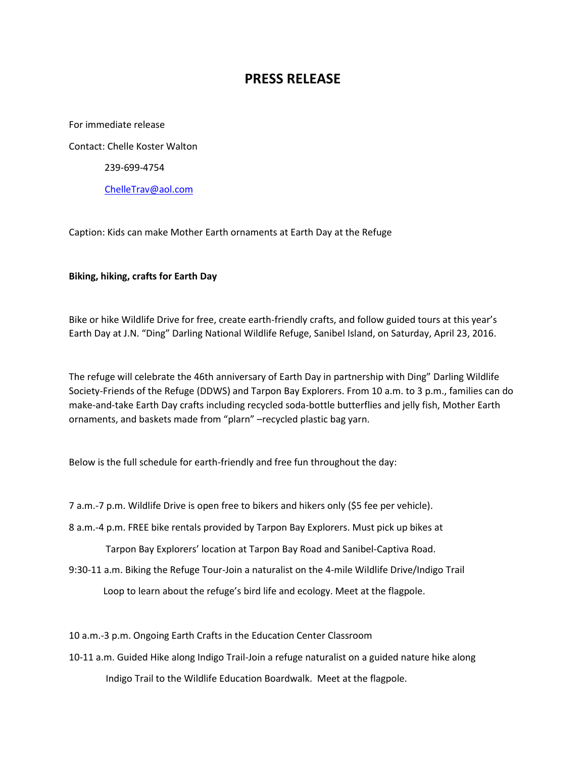## **PRESS RELEASE**

For immediate release Contact: Chelle Koster Walton 239-699-4754 [ChelleTrav@aol.com](mailto:ChelleTrav@aol.com)

Caption: Kids can make Mother Earth ornaments at Earth Day at the Refuge

## **Biking, hiking, crafts for Earth Day**

Bike or hike Wildlife Drive for free, create earth-friendly crafts, and follow guided tours at this year's Earth Day at J.N. "Ding" Darling National Wildlife Refuge, Sanibel Island, on Saturday, April 23, 2016.

The refuge will celebrate the 46th anniversary of Earth Day in partnership with Ding" Darling Wildlife Society-Friends of the Refuge (DDWS) and Tarpon Bay Explorers. From 10 a.m. to 3 p.m., families can do make-and-take Earth Day crafts including recycled soda-bottle butterflies and jelly fish, Mother Earth ornaments, and baskets made from "plarn" –recycled plastic bag yarn.

Below is the full schedule for earth-friendly and free fun throughout the day:

7 a.m.-7 p.m. Wildlife Drive is open free to bikers and hikers only (\$5 fee per vehicle).

8 a.m.-4 p.m. FREE bike rentals provided by Tarpon Bay Explorers. Must pick up bikes at

Tarpon Bay Explorers' location at Tarpon Bay Road and Sanibel-Captiva Road.

9:30-11 a.m. Biking the Refuge Tour-Join a naturalist on the 4-mile Wildlife Drive/Indigo Trail

Loop to learn about the refuge's bird life and ecology. Meet at the flagpole.

10 a.m.-3 p.m. Ongoing Earth Crafts in the Education Center Classroom

10-11 a.m. Guided Hike along Indigo Trail-Join a refuge naturalist on a guided nature hike along Indigo Trail to the Wildlife Education Boardwalk. Meet at the flagpole.